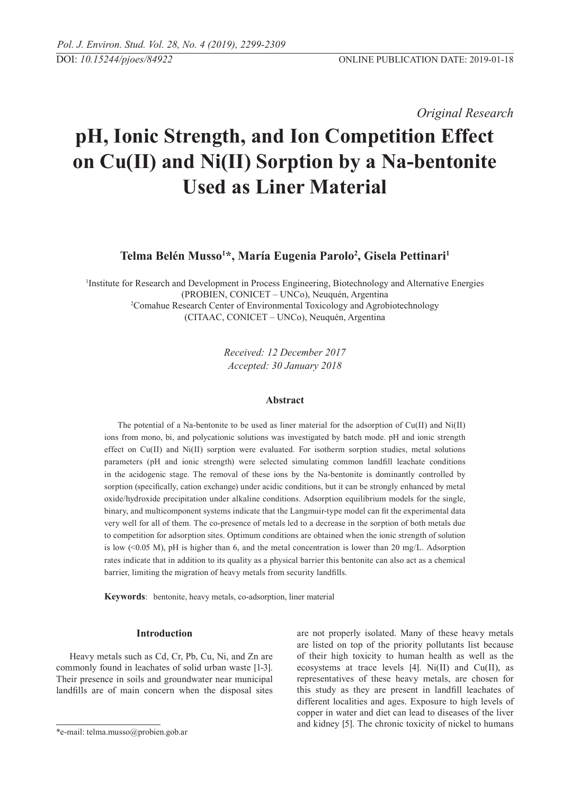*Original Research* 

# **pH, Ionic Strength, and Ion Competition Effect on Cu(II) and Ni(II) Sorption by a Na-bentonite Used as Liner Material**

## **Telma Belén Musso1 \*, María Eugenia Parolo2 , Gisela Pettinari1**

1 Institute for Research and Development in Process Engineering, Biotechnology and Alternative Energies (PROBIEN, CONICET – UNCo), Neuquén, Argentina 2 Comahue Research Center of Environmental Toxicology and Agrobiotechnology (CITAAC, CONICET – UNCo), Neuquén, Argentina

> *Received: 12 December 2017 Accepted: 30 January 2018*

## **Abstract**

The potential of a Na-bentonite to be used as liner material for the adsorption of Cu(II) and Ni(II) ions from mono, bi, and polycationic solutions was investigated by batch mode. pH and ionic strength effect on Cu(II) and Ni(II) sorption were evaluated. For isotherm sorption studies, metal solutions parameters (pH and ionic strength) were selected simulating common landfill leachate conditions in the acidogenic stage. The removal of these ions by the Na-bentonite is dominantly controlled by sorption (specifically, cation exchange) under acidic conditions, but it can be strongly enhanced by metal oxide/hydroxide precipitation under alkaline conditions. Adsorption equilibrium models for the single, binary, and multicomponent systems indicate that the Langmuir-type model can fit the experimental data very well for all of them. The co-presence of metals led to a decrease in the sorption of both metals due to competition for adsorption sites. Optimum conditions are obtained when the ionic strength of solution is low (<0.05 M), pH is higher than 6, and the metal concentration is lower than 20 mg/L. Adsorption rates indicate that in addition to its quality as a physical barrier this bentonite can also act as a chemical barrier, limiting the migration of heavy metals from security landfills.

**Keywords**: bentonite, heavy metals, co-adsorption, liner material

## **Introduction**

Heavy metals such as Cd, Cr, Pb, Cu, Ni, and Zn are commonly found in leachates of solid urban waste [1-3]. Their presence in soils and groundwater near municipal landfills are of main concern when the disposal sites are not properly isolated. Many of these heavy metals are listed on top of the priority pollutants list because of their high toxicity to human health as well as the ecosystems at trace levels  $[4]$ . Ni $(II)$  and Cu $(II)$ , as representatives of these heavy metals, are chosen for this study as they are present in landfill leachates of different localities and ages. Exposure to high levels of copper in water and diet can lead to diseases of the liver and kidney [5]. The chronic toxicity of nickel to humans

<sup>\*</sup>e-mail: telma.musso@probien.gob.ar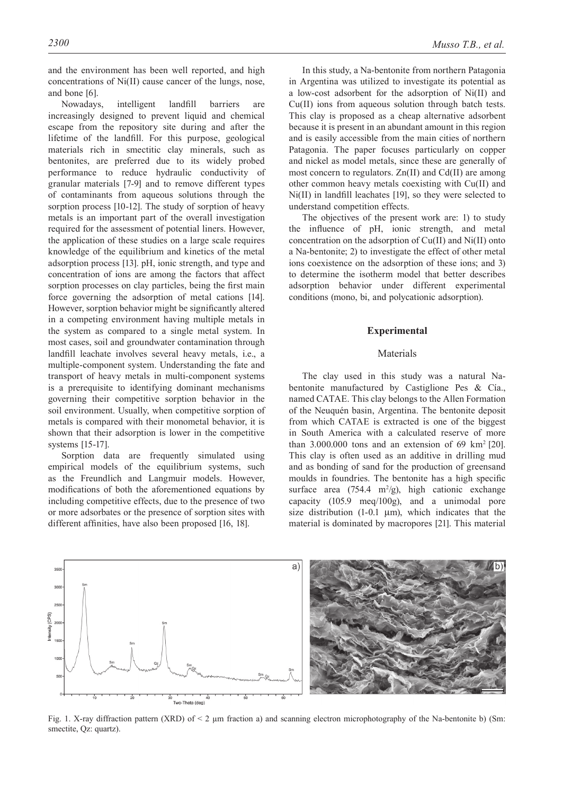and the environment has been well reported, and high concentrations of Ni(II) cause cancer of the lungs, nose, and bone [6].

Nowadays, intelligent landfill barriers are increasingly designed to prevent liquid and chemical escape from the repository site during and after the lifetime of the landfill. For this purpose, geological materials rich in smectitic clay minerals, such as bentonites, are preferred due to its widely probed performance to reduce hydraulic conductivity of granular materials [7-9] and to remove different types of contaminants from aqueous solutions through the sorption process [10-12]. The study of sorption of heavy metals is an important part of the overall investigation required for the assessment of potential liners. However, the application of these studies on a large scale requires knowledge of the equilibrium and kinetics of the metal adsorption process [13]. pH, ionic strength, and type and concentration of ions are among the factors that affect sorption processes on clay particles, being the first main force governing the adsorption of metal cations [14]. However, sorption behavior might be significantly altered in a competing environment having multiple metals in the system as compared to a single metal system. In most cases, soil and groundwater contamination through landfill leachate involves several heavy metals, i.e., a multiple-component system. Understanding the fate and transport of heavy metals in multi-component systems is a prerequisite to identifying dominant mechanisms governing their competitive sorption behavior in the soil environment. Usually, when competitive sorption of metals is compared with their monometal behavior, it is shown that their adsorption is lower in the competitive systems [15-17].

Sorption data are frequently simulated using empirical models of the equilibrium systems, such as the Freundlich and Langmuir models. However, modifications of both the aforementioned equations by including competitive effects, due to the presence of two or more adsorbates or the presence of sorption sites with different affinities, have also been proposed [16, 18].

In this study, a Na-bentonite from northern Patagonia in Argentina was utilized to investigate its potential as a low-cost adsorbent for the adsorption of Ni(II) and Cu(II) ions from aqueous solution through batch tests. This clay is proposed as a cheap alternative adsorbent because it is present in an abundant amount in this region and is easily accessible from the main cities of northern Patagonia. The paper focuses particularly on copper and nickel as model metals, since these are generally of most concern to regulators. Zn(II) and Cd(II) are among other common heavy metals coexisting with Cu(II) and Ni(II) in landfill leachates [19], so they were selected to understand competition effects.

The objectives of the present work are: 1) to study the influence of pH, ionic strength, and metal concentration on the adsorption of Cu(II) and Ni(II) onto a Na-bentonite; 2) to investigate the effect of other metal ions coexistence on the adsorption of these ions; and 3) to determine the isotherm model that better describes adsorption behavior under different experimental conditions (mono, bi, and polycationic adsorption).

#### **Experimental**

## Materials

The clay used in this study was a natural Nabentonite manufactured by Castiglione Pes & Cía., named CATAE. This clay belongs to the Allen Formation of the Neuquén basin, Argentina. The bentonite deposit from which CATAE is extracted is one of the biggest in South America with a calculated reserve of more than 3.000.000 tons and an extension of 69 km<sup>2</sup> [20]. This clay is often used as an additive in drilling mud and as bonding of sand for the production of greensand moulds in foundries. The bentonite has a high specific surface area  $(754.4 \text{ m}^2/\text{g})$ , high cationic exchange capacity (105.9 meq/100g), and a unimodal pore size distribution  $(1-0.1 \mu m)$ , which indicates that the material is dominated by macropores [21]. This material



Fig. 1. X-ray diffraction pattern (XRD) of  $\leq 2$  µm fraction a) and scanning electron microphotography of the Na-bentonite b) (Sm: smectite, Qz: quartz).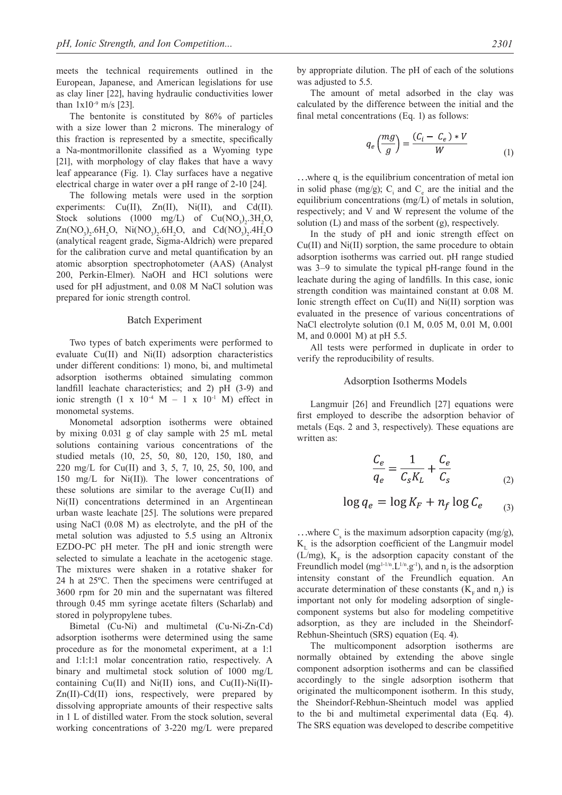meets the technical requirements outlined in the European, Japanese, and American legislations for use as clay liner [22], having hydraulic conductivities lower than  $1x10^{-9}$  m/s [23].

The bentonite is constituted by 86% of particles with a size lower than 2 microns. The mineralogy of this fraction is represented by a smectite, specifically a Na-montmorillonite classified as a Wyoming type [21], with morphology of clay flakes that have a wavy leaf appearance (Fig. 1). Clay surfaces have a negative electrical charge in water over a pH range of 2-10 [24].

The following metals were used in the sorption experiments: Cu(II), Zn(II), Ni(II), and Cd(II). Stock solutions (1000 mg/L) of  $Cu(NO<sub>3</sub>)<sub>2</sub>$ .3H<sub>2</sub>O,  $Zn(NO<sub>3</sub>)<sub>2</sub> . 6H<sub>2</sub>O, Ni(NO<sub>3</sub>)<sub>2</sub> . 6H<sub>2</sub>O, and Cd(NO<sub>3</sub>)<sub>2</sub> . 4H<sub>2</sub>O$ (analytical reagent grade, Sigma-Aldrich) were prepared for the calibration curve and metal quantification by an atomic absorption spectrophotometer (AAS) (Analyst 200, Perkin-Elmer). NaOH and HCl solutions were used for pH adjustment, and 0.08 M NaCl solution was prepared for ionic strength control.

#### Batch Experiment

Two types of batch experiments were performed to evaluate Cu(II) and Ni(II) adsorption characteristics under different conditions: 1) mono, bi, and multimetal adsorption isotherms obtained simulating common landfill leachate characteristics; and 2) pH (3-9) and ionic strength  $(1 \times 10^{-4} \text{ M} - 1 \times 10^{-1} \text{ M})$  effect in monometal systems.

Monometal adsorption isotherms were obtained by mixing 0.031 g of clay sample with 25 mL metal solutions containing various concentrations of the studied metals (10, 25, 50, 80, 120, 150, 180, and 220 mg/L for Cu(II) and 3, 5, 7, 10, 25, 50, 100, and 150 mg/L for Ni(II)). The lower concentrations of these solutions are similar to the average Cu(II) and Ni(II) concentrations determined in an Argentinean urban waste leachate [25]. The solutions were prepared using NaCl (0.08 M) as electrolyte, and the pH of the metal solution was adjusted to 5.5 using an Altronix EZDO-PC pH meter. The pH and ionic strength were selected to simulate a leachate in the acetogenic stage. The mixtures were shaken in a rotative shaker for 24 h at 25ºC. Then the specimens were centrifuged at 3600 rpm for 20 min and the supernatant was filtered through 0.45 mm syringe acetate filters (Scharlab) and stored in polypropylene tubes.

Bimetal (Cu-Ni) and multimetal (Cu-Ni-Zn-Cd) adsorption isotherms were determined using the same procedure as for the monometal experiment, at a 1:1 and 1:1:1:1 molar concentration ratio, respectively. A binary and multimetal stock solution of 1000 mg/L containing  $Cu(II)$  and  $Ni(II)$  ions, and  $Cu(II)$ -Ni $(II)$ -Zn(II)-Cd(II) ions, respectively, were prepared by dissolving appropriate amounts of their respective salts in 1 L of distilled water. From the stock solution, several working concentrations of 3-220 mg/L were prepared

by appropriate dilution. The pH of each of the solutions was adjusted to 5.5.

The amount of metal adsorbed in the clay was calculated by the difference between the initial and the final metal concentrations (Eq. 1) as follows:

$$
q_e\left(\frac{mg}{g}\right) = \frac{(C_i - C_e) * V}{W} \tag{1}
$$

...where  $q_e$  is the equilibrium concentration of metal ion in solid phase (mg/g);  $C_i$  and  $C_e$  are the initial and the equilibrium concentrations (mg/L) of metals in solution, respectively; and V and W represent the volume of the solution (L) and mass of the sorbent (g), respectively.

In the study of pH and ionic strength effect on Cu(II) and Ni(II) sorption, the same procedure to obtain adsorption isotherms was carried out. pH range studied was 3–9 to simulate the typical pH-range found in the leachate during the aging of landfills. In this case, ionic strength condition was maintained constant at 0.08 M. Ionic strength effect on Cu(II) and Ni(II) sorption was evaluated in the presence of various concentrations of NaCl electrolyte solution (0.1 M, 0.05 M, 0.01 M, 0.001 M, and 0.0001 M) at pH 5.5.

All tests were performed in duplicate in order to verify the reproducibility of results.

#### Adsorption Isotherms Models

Langmuir [26] and Freundlich [27] equations were first employed to describe the adsorption behavior of metals (Eqs. 2 and 3, respectively). These equations are written as:

$$
\frac{C_e}{q_e} = \frac{1}{C_s K_L} + \frac{C_e}{C_s} \tag{2}
$$

$$
\log q_e = \log K_F + n_f \log C_e \qquad (3)
$$

...where  $C_s$  is the maximum adsorption capacity (mg/g),  $K<sub>L</sub>$  is the adsorption coefficient of the Langmuir model (L/mg),  $K_F$  is the adsorption capacity constant of the Freundlich model (mg<sup>1-1/n</sup>.L<sup>1/n</sup>.g<sup>-1</sup>), and  $n_f$  is the adsorption intensity constant of the Freundlich equation. An accurate determination of these constants  $(K_F \text{ and } n_f)$  is important not only for modeling adsorption of singlecomponent systems but also for modeling competitive adsorption, as they are included in the Sheindorf-Rebhun-Sheintuch (SRS) equation (Eq. 4).

The multicomponent adsorption isotherms are normally obtained by extending the above single component adsorption isotherms and can be classified accordingly to the single adsorption isotherm that originated the multicomponent isotherm. In this study, the Sheindorf-Rebhun-Sheintuch model was applied to the bi and multimetal experimental data (Eq. 4). The SRS equation was developed to describe competitive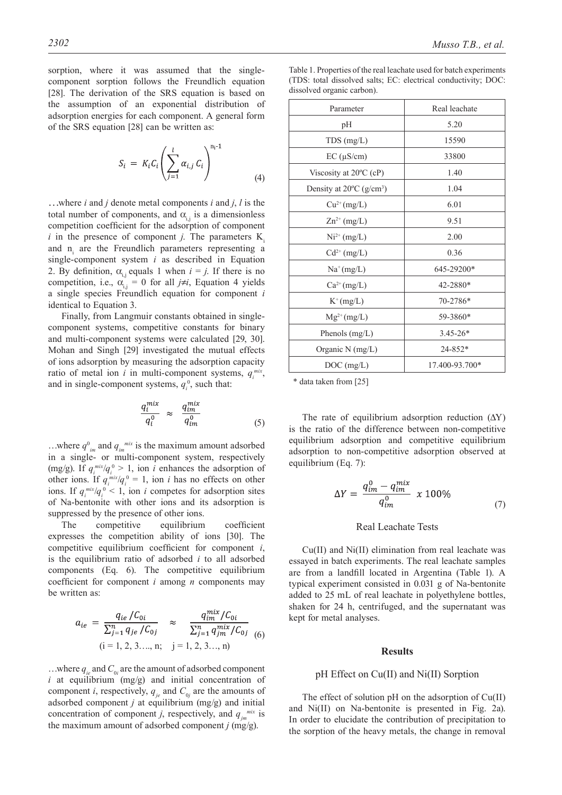sorption, where it was assumed that the singlecomponent sorption follows the Freundlich equation [28]. The derivation of the SRS equation is based on the assumption of an exponential distribution of adsorption energies for each component. A general form of the SRS equation [28] can be written as:

$$
S_i = K_i C_i \left( \sum_{j=1}^l \alpha_{i,j} C_i \right)^{n_i - 1}
$$
\n(4)

…where *i* and *j* denote metal components *i* and *j*, *l* is the total number of components, and  $\alpha_{ij}$  is a dimensionless competition coefficient for the adsorption of component  $i$  in the presence of component  $j$ . The parameters  $K_i$ and  $n_i$  are the Freundlich parameters representing a single-component system *i* as described in Equation 2. By definition,  $\alpha_{i,j}$  equals 1 when  $i = j$ . If there is no competition, i.e.,  $\alpha_{i,j} = 0$  for all  $j \neq i$ , Equation 4 yields a single species Freundlich equation for component *i* identical to Equation 3.

Finally, from Langmuir constants obtained in singlecomponent systems, competitive constants for binary and multi-component systems were calculated [29, 30]. Mohan and Singh [29] investigated the mutual effects of ions adsorption by measuring the adsorption capacity ratio of metal ion *i* in multi-component systems,  $q_i^{mix}$ , and in single-component systems,  $q_i^0$ , such that:

$$
\frac{q_i^{mix}}{q_i^0} \approx \frac{q_{im}^{mix}}{q_{im}^0} \tag{5}
$$

...where  $q^0_{im}$  and  $q_{im}^{mix}$  is the maximum amount adsorbed in a single- or multi-component system, respectively (mg/g). If  $q_i^{mix}/q_i^0 > 1$ , ion *i* enhances the adsorption of other ions. If  $q_i^{mix}/q_i^0 = 1$ , ion *i* has no effects on other ions. If  $q_i^{mix}/q_i^0$  < 1, ion *i* competes for adsorption sites of Na-bentonite with other ions and its adsorption is suppressed by the presence of other ions.

The competitive equilibrium coefficient expresses the competition ability of ions [30]. The competitive equilibrium coefficient for component *i*, is the equilibrium ratio of adsorbed *i* to all adsorbed components (Eq. 6). The competitive equilibrium coefficient for component *i* among *n* components may be written as:

$$
a_{ie} = \frac{q_{ie}/C_{0i}}{\sum_{j=1}^{n} q_{je}/C_{0j}} \approx \frac{q_{im}^{mix}/C_{0i}}{\sum_{j=1}^{n} q_{jm}^{mix}/C_{0j}}
$$
(6)  
(i = 1, 2, 3..., n; j = 1, 2, 3..., n)

...where  $q_{ie}$  and  $C_{0i}$  are the amount of adsorbed component *i* at equilibrium (mg/g) and initial concentration of component *i*, respectively,  $q_{je}$  and  $C_{0j}$  are the amounts of adsorbed component *j* at equilibrium (mg/g) and initial concentration of component *j*, respectively, and  $q_{jm}^{mix}$  is the maximum amount of adsorbed component *j* (mg/g).

Table 1. Properties of the real leachate used for batch experiments (TDS: total dissolved salts; EC: electrical conductivity; DOC: dissolved organic carbon).

| Parameter                                      | Real leachate  |  |  |
|------------------------------------------------|----------------|--|--|
| pH                                             | 5.20           |  |  |
| $TDS$ (mg/L)                                   | 15590          |  |  |
| $EC$ ( $\mu$ S/cm)                             | 33800          |  |  |
| Viscosity at $20^{\circ}$ C (cP)               | 1.40           |  |  |
| Density at $20^{\circ}$ C (g/cm <sup>3</sup> ) | 1.04           |  |  |
| $Cu^{2+}(mg/L)$                                | 6.01           |  |  |
| $\text{Zn}^{2+}$ (mg/L)                        | 9.51           |  |  |
| $Ni^{2+} (mg/L)$                               | 2.00           |  |  |
| $Cd^{2+}$ (mg/L)                               | 0.36           |  |  |
| $Na^+(mg/L)$                                   | 645-29200*     |  |  |
| $Ca^{2+}(mg/L)$                                | 42-2880*       |  |  |
| $K^+(mg/L)$                                    | 70-2786*       |  |  |
| $Mg^{2+}(mg/L)$                                | 59-3860*       |  |  |
| Phenols $(mg/L)$                               | $3.45 - 26*$   |  |  |
| Organic N (mg/L)                               | $24 - 852*$    |  |  |
| DOC (mg/L)                                     | 17.400-93.700* |  |  |
|                                                |                |  |  |

\* data taken from [25]

The rate of equilibrium adsorption reduction  $(\Delta Y)$ is the ratio of the difference between non-competitive equilibrium adsorption and competitive equilibrium adsorption to non-competitive adsorption observed at equilibrium (Eq. 7):

$$
\Delta Y = \frac{q_{im}^0 - q_{im}^{mix}}{q_{im}^0} \times 100\% \tag{7}
$$

#### Real Leachate Tests

Cu(II) and Ni(II) elimination from real leachate was essayed in batch experiments. The real leachate samples are from a landfill located in Argentina (Table 1). A typical experiment consisted in 0.031 g of Na-bentonite added to 25 mL of real leachate in polyethylene bottles, shaken for 24 h, centrifuged, and the supernatant was kept for metal analyses.

#### **Results**

#### pH Effect on Cu(II) and Ni(II) Sorption

The effect of solution pH on the adsorption of Cu(II) and Ni(II) on Na-bentonite is presented in Fig. 2a). In order to elucidate the contribution of precipitation to the sorption of the heavy metals, the change in removal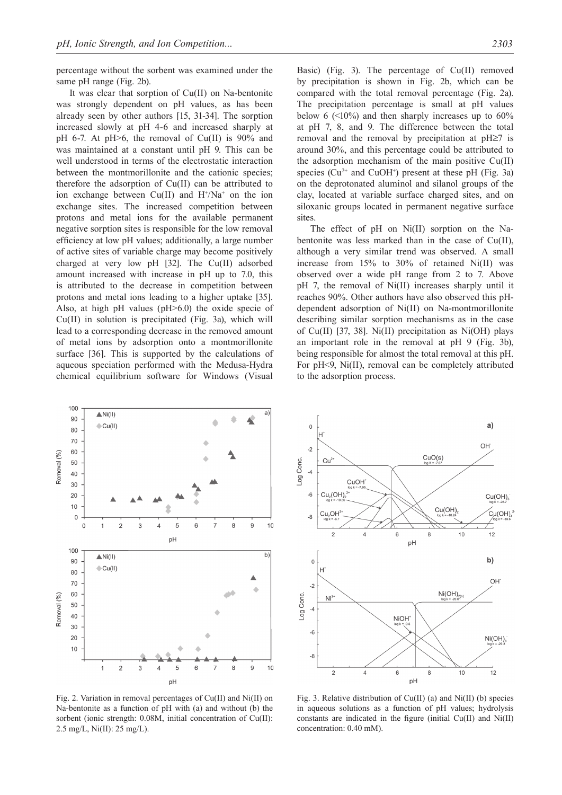percentage without the sorbent was examined under the same pH range (Fig. 2b).

It was clear that sorption of Cu(II) on Na-bentonite was strongly dependent on pH values, as has been already seen by other authors [15, 31-34]. The sorption increased slowly at pH 4-6 and increased sharply at pH 6-7. At pH>6, the removal of Cu(II) is 90% and was maintained at a constant until pH 9. This can be well understood in terms of the electrostatic interaction between the montmorillonite and the cationic species; therefore the adsorption of Cu(II) can be attributed to ion exchange between  $Cu(II)$  and  $H^+/Na^+$  on the ion exchange sites. The increased competition between protons and metal ions for the available permanent negative sorption sites is responsible for the low removal efficiency at low pH values; additionally, a large number of active sites of variable charge may become positively charged at very low pH [32]. The Cu(II) adsorbed amount increased with increase in pH up to 7.0, this is attributed to the decrease in competition between protons and metal ions leading to a higher uptake [35]. Also, at high pH values (pH>6.0) the oxide specie of Cu(II) in solution is precipitated (Fig. 3a), which will lead to a corresponding decrease in the removed amount of metal ions by adsorption onto a montmorillonite surface [36]. This is supported by the calculations of aqueous speciation performed with the Medusa-Hydra chemical equilibrium software for Windows (Visual

Basic) (Fig. 3). The percentage of Cu(II) removed by precipitation is shown in Fig. 2b, which can be compared with the total removal percentage (Fig. 2a). The precipitation percentage is small at pH values below 6  $($   $\leq$  10%) and then sharply increases up to 60% at pH 7, 8, and 9. The difference between the total removal and the removal by precipitation at pH≥7 is around 30%, and this percentage could be attributed to the adsorption mechanism of the main positive Cu(II) species  $(Cu^{2+}$  and  $CuOH^{+}$ ) present at these pH (Fig. 3a) on the deprotonated aluminol and silanol groups of the clay, located at variable surface charged sites, and on siloxanic groups located in permanent negative surface sites.

The effect of pH on Ni(II) sorption on the Nabentonite was less marked than in the case of Cu(II), although a very similar trend was observed. A small increase from 15% to 30% of retained Ni(II) was observed over a wide pH range from 2 to 7. Above pH 7, the removal of Ni(II) increases sharply until it reaches 90%. Other authors have also observed this pHdependent adsorption of Ni(II) on Na-montmorillonite describing similar sorption mechanisms as in the case of Cu(II) [37, 38]. Ni(II) precipitation as Ni(OH) plays an important role in the removal at pH 9 (Fig. 3b), being responsible for almost the total removal at this pH. For pH<9, Ni(II), removal can be completely attributed to the adsorption process.



Fig. 2. Variation in removal percentages of Cu(II) and Ni(II) on Na-bentonite as a function of pH with (a) and without (b) the sorbent (ionic strength: 0.08M, initial concentration of Cu(II): 2.5 mg/L, Ni(II): 25 mg/L).



Fig. 3. Relative distribution of  $Cu(II)$  (a) and  $Ni(II)$  (b) species in aqueous solutions as a function of pH values; hydrolysis constants are indicated in the figure (initial Cu(II) and Ni(II) concentration: 0.40 mM).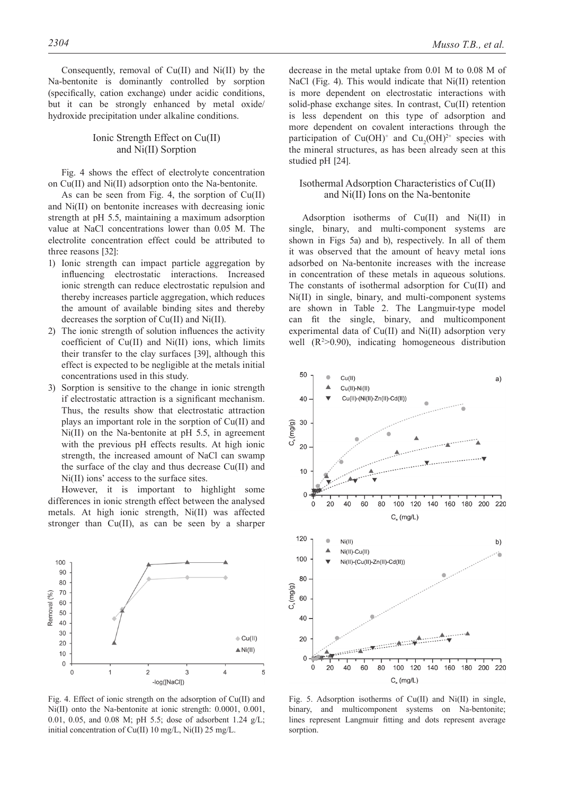Consequently, removal of Cu(II) and Ni(II) by the Na-bentonite is dominantly controlled by sorption (specifically, cation exchange) under acidic conditions, but it can be strongly enhanced by metal oxide/ hydroxide precipitation under alkaline conditions.

## Ionic Strength Effect on Cu(II) and Ni(II) Sorption

Fig. 4 shows the effect of electrolyte concentration on Cu(II) and Ni(II) adsorption onto the Na-bentonite.

As can be seen from Fig. 4, the sorption of Cu(II) and Ni(II) on bentonite increases with decreasing ionic strength at pH 5.5, maintaining a maximum adsorption value at NaCl concentrations lower than 0.05 M. The electrolite concentration effect could be attributed to three reasons [32]:

- 1) Ionic strength can impact particle aggregation by influencing electrostatic interactions. Increased ionic strength can reduce electrostatic repulsion and thereby increases particle aggregation, which reduces the amount of available binding sites and thereby decreases the sorption of Cu(II) and Ni(II).
- 2) The ionic strength of solution influences the activity coefficient of Cu(II) and Ni(II) ions, which limits their transfer to the clay surfaces [39], although this effect is expected to be negligible at the metals initial concentrations used in this study.
- 3) Sorption is sensitive to the change in ionic strength if electrostatic attraction is a significant mechanism. Thus, the results show that electrostatic attraction plays an important role in the sorption of Cu(II) and Ni(II) on the Na-bentonite at pH 5.5, in agreement with the previous pH effects results. At high ionic strength, the increased amount of NaCl can swamp the surface of the clay and thus decrease Cu(II) and Ni(II) ions' access to the surface sites.

However, it is important to highlight some differences in ionic strength effect between the analysed metals. At high ionic strength, Ni(II) was affected stronger than Cu(II), as can be seen by a sharper



Fig. 4. Effect of ionic strength on the adsorption of Cu(II) and Ni(II) onto the Na-bentonite at ionic strength: 0.0001, 0.001, 0.01, 0.05, and 0.08 M; pH 5.5; dose of adsorbent 1.24 g/L; initial concentration of Cu(II) 10 mg/L, Ni(II) 25 mg/L.

decrease in the metal uptake from 0.01 M to 0.08 M of NaCl (Fig. 4). This would indicate that Ni(II) retention is more dependent on electrostatic interactions with solid-phase exchange sites. In contrast, Cu(II) retention is less dependent on this type of adsorption and more dependent on covalent interactions through the participation of  $Cu(OH)^+$  and  $Cu_2(OH)^{2+}$  species with the mineral structures, as has been already seen at this studied pH [24].

## Isothermal Adsorption Characteristics of Cu(II) and Ni(II) Ions on the Na-bentonite

Adsorption isotherms of Cu(II) and Ni(II) in single, binary, and multi-component systems are shown in Figs 5a) and b), respectively. In all of them it was observed that the amount of heavy metal ions adsorbed on Na-bentonite increases with the increase in concentration of these metals in aqueous solutions. The constants of isothermal adsorption for Cu(II) and Ni(II) in single, binary, and multi-component systems are shown in Table 2. The Langmuir-type model can fit the single, binary, and multicomponent experimental data of Cu(II) and Ni(II) adsorption very well  $(R^2>0.90)$ , indicating homogeneous distribution



Fig. 5. Adsorption isotherms of Cu(II) and Ni(II) in single, binary, and multicomponent systems on Na-bentonite; lines represent Langmuir fitting and dots represent average sorption.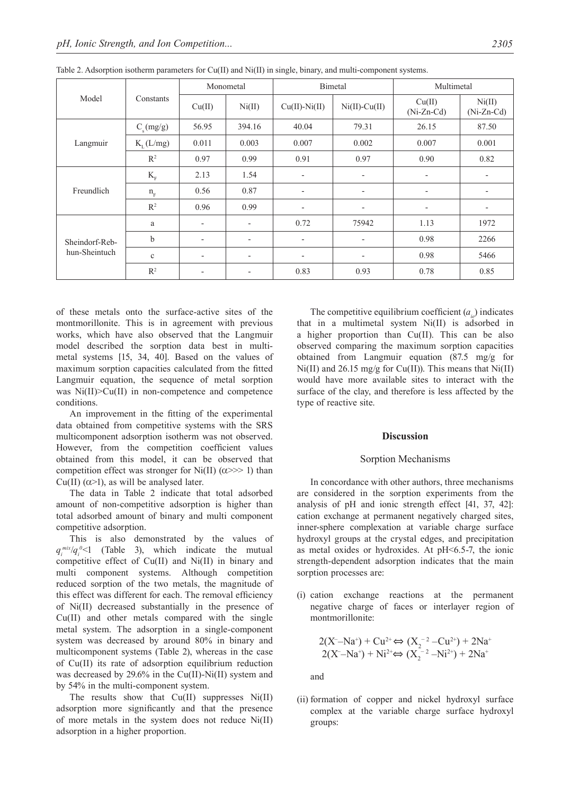| Model                           | Constants            | Monometal                |                          | Bimetal                  |                          | Multimetal               |                          |
|---------------------------------|----------------------|--------------------------|--------------------------|--------------------------|--------------------------|--------------------------|--------------------------|
|                                 |                      | Cu(II)                   | Ni(II)                   | $Cu(II)-Ni(II)$          | $Ni(II)-Cu(II)$          | Cu(II)<br>$(Ni-Zn-Cd)$   | Ni(II)<br>$(Ni-Zn-Cd)$   |
| Langmuir                        | $C_{s}(mg/g)$        | 56.95                    | 394.16                   | 40.04                    | 79.31                    | 26.15                    | 87.50                    |
|                                 | $K_{\tau}$ (L/mg)    | 0.011                    | 0.003                    | 0.007                    | 0.002                    | 0.007                    | 0.001                    |
|                                 | R <sup>2</sup>       | 0.97                     | 0.99                     | 0.91                     | 0.97                     | 0.90                     | 0.82                     |
| Freundlich                      | $\mathbf{K}_{\rm F}$ | 2.13                     | 1.54                     | $\overline{\phantom{a}}$ | $\overline{\phantom{a}}$ | $\overline{\phantom{a}}$ | $\overline{\phantom{a}}$ |
|                                 | $n_F$                | 0.56                     | 0.87                     | $\overline{\phantom{a}}$ | $\overline{\phantom{0}}$ | $\overline{\phantom{a}}$ | ٠                        |
|                                 | $\mathbb{R}^2$       | 0.96                     | 0.99                     | $\overline{\phantom{a}}$ | $\overline{\phantom{a}}$ | $\overline{\phantom{a}}$ | $\overline{\phantom{a}}$ |
| Sheindorf-Reb-<br>hun-Sheintuch | a                    | $\overline{\phantom{a}}$ | $\overline{a}$           | 0.72                     | 75942                    | 1.13                     | 1972                     |
|                                 | $\mathbf b$          | $\overline{\phantom{a}}$ | $\overline{\phantom{a}}$ | $\overline{\phantom{a}}$ | $\overline{\phantom{a}}$ | 0.98                     | 2266                     |
|                                 | $\mathbf c$          | $\overline{\phantom{a}}$ | $\overline{\phantom{a}}$ | $\overline{\phantom{a}}$ | $\overline{\phantom{a}}$ | 0.98                     | 5466                     |
|                                 | $R^2$                | $\overline{\phantom{a}}$ | $\overline{\phantom{a}}$ | 0.83                     | 0.93                     | 0.78                     | 0.85                     |

Table 2. Adsorption isotherm parameters for Cu(II) and Ni(II) in single, binary, and multi-component systems.

of these metals onto the surface-active sites of the montmorillonite. This is in agreement with previous works, which have also observed that the Langmuir model described the sorption data best in multimetal systems [15, 34, 40]. Based on the values of maximum sorption capacities calculated from the fitted Langmuir equation, the sequence of metal sorption was Ni(II)>Cu(II) in non-competence and competence conditions.

An improvement in the fitting of the experimental data obtained from competitive systems with the SRS multicomponent adsorption isotherm was not observed. However, from the competition coefficient values obtained from this model, it can be observed that competition effect was stronger for Ni(II) ( $\alpha$ >>> 1) than Cu(II)  $(\alpha > 1)$ , as will be analysed later.

The data in Table 2 indicate that total adsorbed amount of non-competitive adsorption is higher than total adsorbed amount of binary and multi component competitive adsorption.

This is also demonstrated by the values of  $q_i^{mix}/q_i^{0}$  (Table 3), which indicate the mutual competitive effect of Cu(II) and Ni(II) in binary and multi component systems. Although competition reduced sorption of the two metals, the magnitude of this effect was different for each. The removal efficiency of Ni(II) decreased substantially in the presence of Cu(II) and other metals compared with the single metal system. The adsorption in a single-component system was decreased by around 80% in binary and multicomponent systems (Table 2), whereas in the case of Cu(II) its rate of adsorption equilibrium reduction was decreased by 29.6% in the Cu(II)-Ni(II) system and by 54% in the multi-component system.

The results show that  $Cu(II)$  suppresses  $Ni(II)$ adsorption more significantly and that the presence of more metals in the system does not reduce Ni(II) adsorption in a higher proportion.

The competitive equilibrium coefficient  $(a<sub>i</sub>)$  indicates that in a multimetal system Ni(II) is adsorbed in a higher proportion than Cu(II). This can be also observed comparing the maximum sorption capacities obtained from Langmuir equation (87.5 mg/g for  $Ni(II)$  and 26.15 mg/g for Cu(II)). This means that  $Ni(II)$ would have more available sites to interact with the surface of the clay, and therefore is less affected by the type of reactive site.

#### **Discussion**

## Sorption Mechanisms

In concordance with other authors, three mechanisms are considered in the sorption experiments from the analysis of pH and ionic strength effect [41, 37, 42]: cation exchange at permanent negatively charged sites, inner-sphere complexation at variable charge surface hydroxyl groups at the crystal edges, and precipitation as metal oxides or hydroxides. At pH<6.5-7, the ionic strength-dependent adsorption indicates that the main sorption processes are:

(i) cation exchange reactions at the permanent negative charge of faces or interlayer region of montmorillonite:

$$
2(X^{-} - Na^{+}) + Cu^{2+} \Leftrightarrow (X_{2}^{-2} - Cu^{2+}) + 2Na^{+}
$$
  

$$
2(X^{-} - Na^{+}) + Ni^{2+} \Leftrightarrow (X_{2}^{-2} - Ni^{2+}) + 2Na^{+}
$$

and

(ii) formation of copper and nickel hydroxyl surface complex at the variable charge surface hydroxyl groups: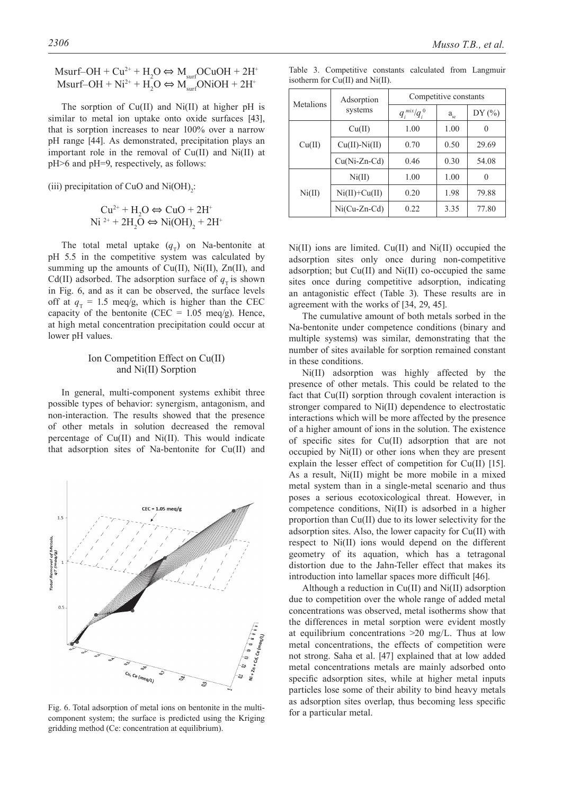Msurf–OH +  $Cu^{2+} + H_2O \Leftrightarrow M_{surf}OCuOH + 2H^+$ Msurf–OH +  $Ni^{2+} + H_2O \Leftrightarrow M_{surf}ONiOH + 2H^+$ 

The sorption of  $Cu(II)$  and  $Ni(II)$  at higher pH is similar to metal ion uptake onto oxide surfaces [43], that is sorption increases to near 100% over a narrow pH range [44]. As demonstrated, precipitation plays an important role in the removal of Cu(II) and Ni(II) at pH>6 and pH=9, respectively, as follows:

(iii) precipitation of CuO and  $Ni(OH)_{2}$ :

$$
\text{Cu}^{2+} + \text{H}_2\text{O} \Leftrightarrow \text{CuO} + 2\text{H}^+ \text{Ni}^{2+} + 2\text{H}_2\text{O} \Leftrightarrow \text{Ni(OH)}_2 + 2\text{H}^+
$$

The total metal uptake  $(q<sub>x</sub>)$  on Na-bentonite at pH 5.5 in the competitive system was calculated by summing up the amounts of Cu(II), Ni(II), Zn(II), and Cd(II) adsorbed. The adsorption surface of  $q<sub>T</sub>$  is shown in Fig. 6, and as it can be observed, the surface levels off at  $q_T = 1.5$  meq/g, which is higher than the CEC capacity of the bentonite (CEC =  $1.05$  meq/g). Hence, at high metal concentration precipitation could occur at lower pH values.

## Ion Competition Effect on Cu(II) and Ni(II) Sorption

In general, multi-component systems exhibit three possible types of behavior: synergism, antagonism, and non-interaction. The results showed that the presence of other metals in solution decreased the removal percentage of Cu(II) and Ni(II). This would indicate that adsorption sites of Na-bentonite for Cu(II) and



Fig. 6. Total adsorption of metal ions on bentonite in the multicomponent system; the surface is predicted using the Kriging gridding method (Ce: concentration at equilibrium).

Table 3. Competitive constants calculated from Langmuir isotherm for Cu(II) and Ni(II).

| Metalions | Adsorption          | Competitive constants |         |       |  |  |
|-----------|---------------------|-----------------------|---------|-------|--|--|
|           | systems             | $q_i^{mix}/q_i^{0}$   | $a_{i}$ | DY(%) |  |  |
| Cu(II)    | Cu(II)              | 1.00                  | 1.00    |       |  |  |
|           | $Cu(II)$ -Ni $(II)$ | 0.70                  | 0.50    | 29.69 |  |  |
|           | $Cu(Ni-Zn-Cd)$      | 0.46                  | 0.30    | 54.08 |  |  |
| Ni(II)    | Ni(II)              | 1.00                  | 1.00    | 0     |  |  |
|           | $Ni(II)+Cu(II)$     | 0.20                  | 1.98    | 79.88 |  |  |
|           | $Ni(Cu-Zn-Cd)$      | 0.22                  | 3.35    | 77.80 |  |  |

Ni(II) ions are limited. Cu(II) and Ni(II) occupied the adsorption sites only once during non-competitive adsorption; but  $Cu(II)$  and  $Ni(II)$  co-occupied the same sites once during competitive adsorption, indicating an antagonistic effect (Table 3). These results are in agreement with the works of [34, 29, 45].

The cumulative amount of both metals sorbed in the Na-bentonite under competence conditions (binary and multiple systems) was similar, demonstrating that the number of sites available for sorption remained constant in these conditions.

Ni(II) adsorption was highly affected by the presence of other metals. This could be related to the fact that Cu(II) sorption through covalent interaction is stronger compared to Ni(II) dependence to electrostatic interactions which will be more affected by the presence of a higher amount of ions in the solution. The existence of specific sites for Cu(II) adsorption that are not occupied by Ni(II) or other ions when they are present explain the lesser effect of competition for Cu(II) [15]. As a result, Ni(II) might be more mobile in a mixed metal system than in a single-metal scenario and thus poses a serious ecotoxicological threat. However, in competence conditions, Ni(II) is adsorbed in a higher proportion than Cu(II) due to its lower selectivity for the adsorption sites. Also, the lower capacity for Cu(II) with respect to Ni(II) ions would depend on the different geometry of its aquation, which has a tetragonal distortion due to the Jahn-Teller effect that makes its introduction into lamellar spaces more difficult [46].

Although a reduction in Cu(II) and Ni(II) adsorption due to competition over the whole range of added metal concentrations was observed, metal isotherms show that the differences in metal sorption were evident mostly at equilibrium concentrations >20 mg/L. Thus at low metal concentrations, the effects of competition were not strong. Saha et al. [47] explained that at low added metal concentrations metals are mainly adsorbed onto specific adsorption sites, while at higher metal inputs particles lose some of their ability to bind heavy metals as adsorption sites overlap, thus becoming less specific for a particular metal.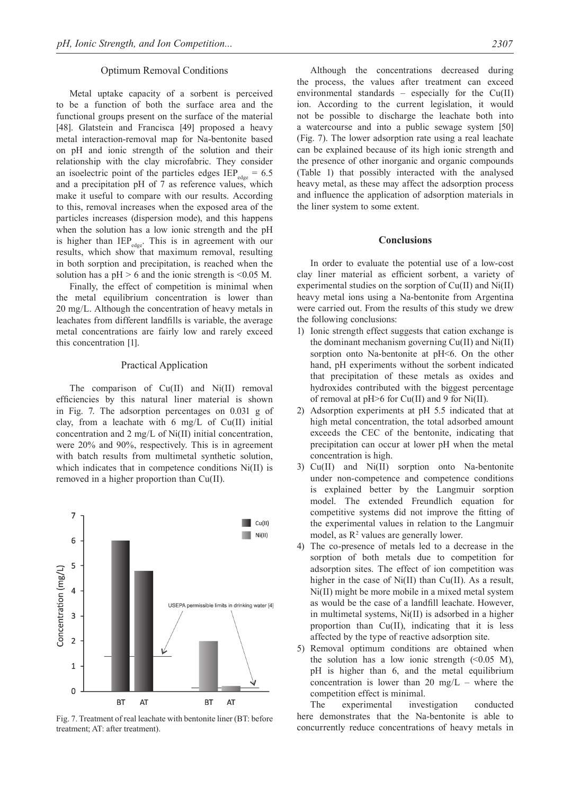#### Optimum Removal Conditions

Metal uptake capacity of a sorbent is perceived to be a function of both the surface area and the functional groups present on the surface of the material [48]. Glatstein and Francisca [49] proposed a heavy metal interaction-removal map for Na-bentonite based on pH and ionic strength of the solution and their relationship with the clay microfabric. They consider an isoelectric point of the particles edges  $IEP_{\text{edge}} = 6.5$ and a precipitation pH of 7 as reference values, which make it useful to compare with our results. According to this, removal increases when the exposed area of the particles increases (dispersion mode), and this happens when the solution has a low ionic strength and the pH is higher than  $\text{IEP}_{\text{edge}}$ . This is in agreement with our results, which show that maximum removal, resulting in both sorption and precipitation, is reached when the solution has a  $pH > 6$  and the ionic strength is <0.05 M.

Finally, the effect of competition is minimal when the metal equilibrium concentration is lower than 20 mg/L. Although the concentration of heavy metals in leachates from different landfills is variable, the average metal concentrations are fairly low and rarely exceed this concentration [1].

## Practical Application

The comparison of  $Cu(II)$  and  $Ni(II)$  removal efficiencies by this natural liner material is shown in Fig. 7. The adsorption percentages on 0.031 g of clay, from a leachate with 6 mg/L of Cu(II) initial concentration and 2 mg/L of Ni(II) initial concentration, were 20% and 90%, respectively. This is in agreement with batch results from multimetal synthetic solution, which indicates that in competence conditions Ni(II) is removed in a higher proportion than Cu(II).



Fig. 7. Treatment of real leachate with bentonite liner (BT: before treatment; AT: after treatment).

Although the concentrations decreased during the process, the values after treatment can exceed environmental standards – especially for the  $Cu(II)$ ion. According to the current legislation, it would not be possible to discharge the leachate both into a watercourse and into a public sewage system [50] (Fig. 7). The lower adsorption rate using a real leachate can be explained because of its high ionic strength and the presence of other inorganic and organic compounds (Table 1) that possibly interacted with the analysed heavy metal, as these may affect the adsorption process and influence the application of adsorption materials in the liner system to some extent.

#### **Conclusions**

In order to evaluate the potential use of a low-cost clay liner material as efficient sorbent, a variety of experimental studies on the sorption of Cu(II) and Ni(II) heavy metal ions using a Na-bentonite from Argentina were carried out. From the results of this study we drew the following conclusions:

- 1) Ionic strength effect suggests that cation exchange is the dominant mechanism governing Cu(II) and Ni(II) sorption onto Na-bentonite at pH<6. On the other hand, pH experiments without the sorbent indicated that precipitation of these metals as oxides and hydroxides contributed with the biggest percentage of removal at pH>6 for Cu(II) and 9 for Ni(II).
- 2) Adsorption experiments at pH 5.5 indicated that at high metal concentration, the total adsorbed amount exceeds the CEC of the bentonite, indicating that precipitation can occur at lower pH when the metal concentration is high.
- 3) Cu(II) and Ni(II) sorption onto Na-bentonite under non-competence and competence conditions is explained better by the Langmuir sorption model. The extended Freundlich equation for competitive systems did not improve the fitting of the experimental values in relation to the Langmuir model, as  $\mathbb{R}^2$  values are generally lower.
- 4) The co-presence of metals led to a decrease in the sorption of both metals due to competition for adsorption sites. The effect of ion competition was higher in the case of Ni(II) than Cu(II). As a result, Ni(II) might be more mobile in a mixed metal system as would be the case of a landfill leachate. However, in multimetal systems, Ni(II) is adsorbed in a higher proportion than Cu(II), indicating that it is less affected by the type of reactive adsorption site.
- 5) Removal optimum conditions are obtained when the solution has a low ionic strength  $(\leq 0.05$  M), pH is higher than 6, and the metal equilibrium concentration is lower than 20 mg/L – where the competition effect is minimal.

The experimental investigation conducted here demonstrates that the Na-bentonite is able to concurrently reduce concentrations of heavy metals in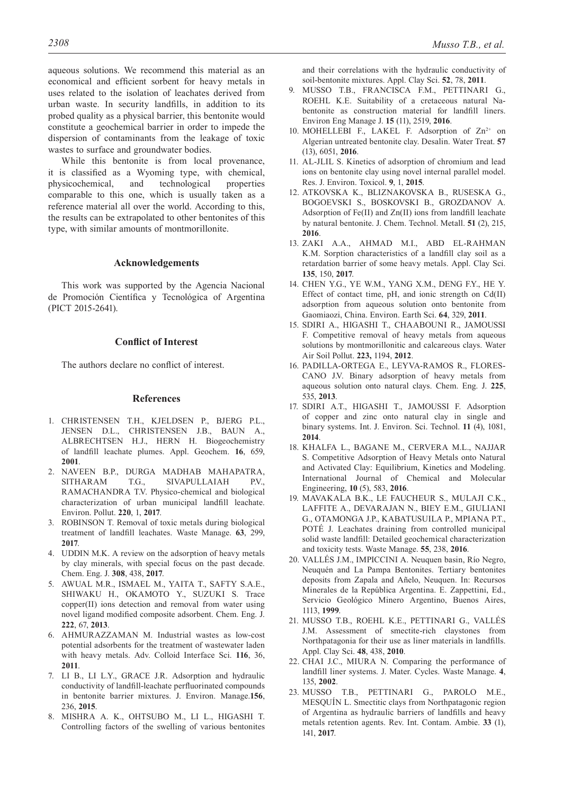aqueous solutions. We recommend this material as an economical and efficient sorbent for heavy metals in uses related to the isolation of leachates derived from urban waste. In security landfills, in addition to its probed quality as a physical barrier, this bentonite would constitute a geochemical barrier in order to impede the dispersion of contaminants from the leakage of toxic wastes to surface and groundwater bodies.

While this bentonite is from local provenance, it is classified as a Wyoming type, with chemical, physicochemical, and technological properties comparable to this one, which is usually taken as a reference material all over the world. According to this, the results can be extrapolated to other bentonites of this type, with similar amounts of montmorillonite.

## **Acknowledgements**

This work was supported by the Agencia Nacional de Promoción Científica y Tecnológica of Argentina (PICT 2015-2641).

## **Conflict of Interest**

The authors declare no conflict of interest.

## **References**

- 1. CHRISTENSEN T.H., KJELDSEN P., BJERG P.L., JENSEN D.L., CHRISTENSEN J.B., BAUN A., ALBRECHTSEN H.J., HERN H. Biogeochemistry of landfill leachate plumes. Appl. Geochem. **16**, 659, **2001**.
- 2. NAVEEN B.P., DURGA MADHAB MAHAPATRA, SITHARAM T.G., SIVAPULLAIAH P.V., RAMACHANDRA T.V. Physico-chemical and biological characterization of urban municipal landfill leachate. Environ. Pollut. **220**, 1, **2017**.
- 3. ROBINSON T. Removal of toxic metals during biological treatment of landfill leachates. Waste Manage. **63**, 299, **2017**.
- 4. UDDIN M.K. A review on the adsorption of heavy metals by clay minerals, with special focus on the past decade. Chem. Eng. J. **308**, 438, **2017**.
- 5. AWUAL M.R., ISMAEL M., YAITA T., SAFTY S.A.E., SHIWAKU H., OKAMOTO Y., SUZUKI S. Trace copper(II) ions detection and removal from water using novel ligand modified composite adsorbent. Chem. Eng. J. **222**, 67, **2013**.
- 6. AHMURAZZAMAN M. Industrial wastes as low-cost potential adsorbents for the treatment of wastewater laden with heavy metals. Adv. Colloid Interface Sci. **116**, 36, **2011**.
- 7. LI B., LI L.Y., GRACE J.R. Adsorption and hydraulic conductivity of landfill-leachate perfluorinated compounds in bentonite barrier mixtures. J. Environ. Manage.**156**, 236, **2015**.
- 8. MISHRA A. K., OHTSUBO M., LI L., HIGASHI T. Controlling factors of the swelling of various bentonites

and their correlations with the hydraulic conductivity of soil-bentonite mixtures. Appl. Clay Sci. **52**, 78, **2011**.

- 9. MUSSO T.B., FRANCISCA F.M., PETTINARI G., ROEHL K.E. Suitability of a cretaceous natural Nabentonite as construction material for landfill liners. Environ Eng Manage J. **15** (11), 2519, **2016**.
- 10. MOHELLEBI F., LAKEL F. Adsorption of  $Zn^{2+}$  on Algerian untreated bentonite clay. Desalin. Water Treat. **57**  (13), 6051, **2016**.
- 11. AL-JLIL S. Kinetics of adsorption of chromium and lead ions on bentonite clay using novel internal parallel model. Res. J. Environ. Toxicol. **9**, 1, **2015**.
- 12. ATKOVSKA K., BLIZNAKOVSKA B., RUSESKA G., BOGOEVSKI S., BOSKOVSKI B., GROZDANOV A. Adsorption of Fe(II) and Zn(II) ions from landfill leachate by natural bentonite. J. Chem. Technol. Metall. **51** (2), 215, **2016**.
- 13. ZAKI A.A., AHMAD M.I., ABD EL-RAHMAN K.M. Sorption characteristics of a landfill clay soil as a retardation barrier of some heavy metals. Appl. Clay Sci. **135**, 150, **2017**.
- 14. CHEN Y.G., YE W.M., YANG X.M., DENG F.Y., HE Y. Effect of contact time, pH, and ionic strength on Cd(II) adsorption from aqueous solution onto bentonite from Gaomiaozi, China. Environ. Earth Sci. **64**, 329, **2011**.
- 15. SDIRI A., HIGASHI T., CHAABOUNI R., JAMOUSSI F. Competitive removal of heavy metals from aqueous solutions by montmorillonitic and calcareous clays. Water Air Soil Pollut. **223,** 1194, **2012**.
- 16. PADILLA-ORTEGA E., LEYVA-RAMOS R., FLORES-CANO J.V. Binary adsorption of heavy metals from aqueous solution onto natural clays. Chem. Eng. J. **225**, 535, **2013**.
- 17. SDIRI A.T., HIGASHI T., JAMOUSSI F. Adsorption of copper and zinc onto natural clay in single and binary systems. Int. J. Environ. Sci. Technol. **11** (4), 1081, **2014**.
- 18. KHALFA L., BAGANE M., CERVERA M.L., NAJJAR S. Competitive Adsorption of Heavy Metals onto Natural and Activated Clay: Equilibrium, Kinetics and Modeling. International Journal of Chemical and Molecular Engineering, **10** (5), 583, **2016**.
- 19. MAVAKALA B.K., LE FAUCHEUR S., MULAJI C.K., LAFFITE A., DEVARAJAN N., BIEY E.M., GIULIANI G., OTAMONGA J.P., KABATUSUILA P., MPIANA P.T., POTÉ J. Leachates draining from controlled municipal solid waste landfill: Detailed geochemical characterization and toxicity tests. Waste Manage. **55**, 238, **2016**.
- 20. VALLÉS J.M., IMPICCINI A. Neuquen basin, Río Negro, Neuquén and La Pampa Bentonites. Tertiary bentonites deposits from Zapala and Añelo, Neuquen. In: Recursos Minerales de la República Argentina. E. Zappettini, Ed., Servicio Geológico Minero Argentino, Buenos Aires, 1113, **1999**.
- 21. MUSSO T.B., ROEHL K.E., PETTINARI G., VALLÉS J.M. Assessment of smectite-rich claystones from Northpatagonia for their use as liner materials in landfills. Appl. Clay Sci. **48**, 438, **2010**.
- 22. CHAI J.C., MIURA N. Comparing the performance of landfill liner systems. J. Mater. Cycles. Waste Manage. **4**, 135, **2002**.
- 23. MUSSO T.B., PETTINARI G., PAROLO M.E., MESQUÍN L. Smectitic clays from Northpatagonic region of Argentina as hydraulic barriers of landfills and heavy metals retention agents. Rev. Int. Contam. Ambie. **33** (1), 141, **2017**.